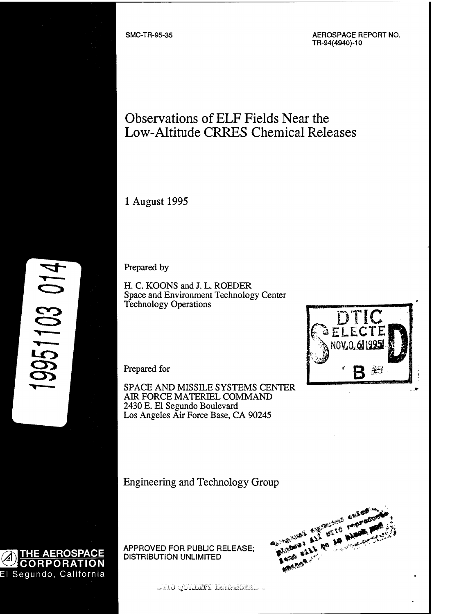SMC-TR-95-35 AEROSPACE REPORT NO. TR-94(4940)-10

# Observations of ELF Fields Near the Low-Altitude CRRES Chemical Releases

<sup>1</sup> August 1995

Prepared by

H. C. KOONS and J. L. ROEDER Space and Environment Technology Center Technology Operations

Prepared for

SPACE AND MISSILE SYSTEMS CENTER AIR FORCE MATERIEL COMMAND 2430 E. El Segundo Boulevard Los Angeles Air Force Base, CA 90245

Engineering and Technology Group

APPROVED FOR PUBLIC RELEASE; DISTRIBUTION UNLIMITED

**;1 1 ;: ',\*/'. V '.'i'ü'y'i'v' 'i-'>V-: i'r -'; -;".',:" -:'jPi-i'**





9951103 014

ESPAGNAMENT **SEXO**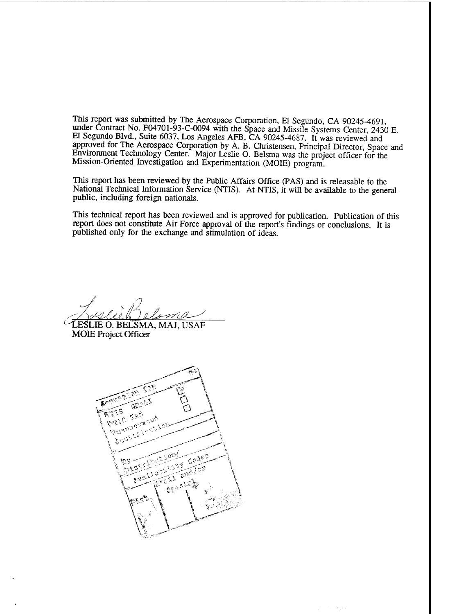This report was submitted by The Aerospace Corporation, El Segundo, CA 90245-4691 under Contract No. F04701-93-C-0094 with the Space and Missile Systems Center, 2430 E. El Segundo Blvd., Suite 6037, Los Angeles AFB, CA 90245-4687. It was reviewed and approved for The Aerospace Corporation by A. B. Christensen, Principal Director, Space and Environment Technology Center. Major Leslie O. Belsma was the project officer for the Mission-Oriented Investigation and Experimentation (MOIE) program.

This report has been reviewed by the Public Affairs Office (PAS) and is releasable to the National Technical Information Service (NTIS). At NTIS, it will be available to the general public, including foreign nationals.

This technical report has been reviewed and is approved for publication. Publication of this report does not constitute Air Force approval of the report's findings or conclusions. It is published only for the exchange and stimulation of ideas.

 $\tau \rightarrow \infty$ 

LIE O. BELSMA, MAJ, USAF **^äP<sup>1</sup> ^ <sup>1</sup>^-**

MOIE Project Officer

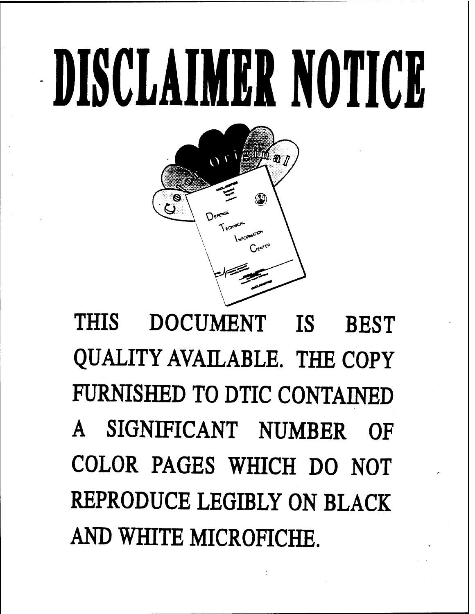# **DISCLAIM» NOTICE**



**THIS DOCUMENT IS BEST QUALITY AVAILABLE. THE COPY FURNISHED TO DTIC CONTAINED A SIGNIFICANT NUMBER OF COLOR PAGES WHICH DO NOT REPRODUCE LEGIBLY ON BLACK AND WHITE MICROFICHE.**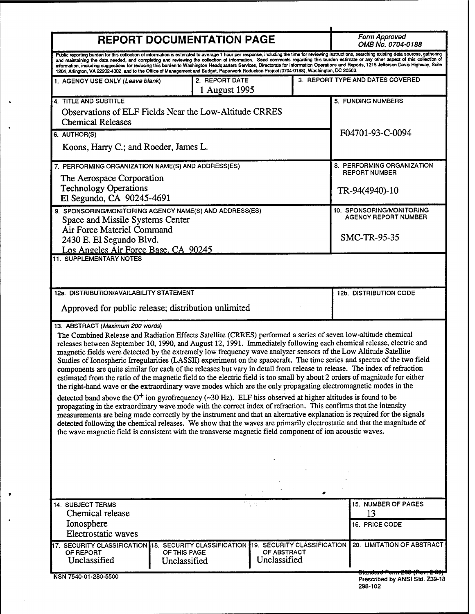| <b>REPORT DOCUMENTATION PAGE</b>                                                                                                                                                                                                                                                                                                                                                                                                                                                                                                                                                                                                                                                                                                                                                                                                                                                                                                                                                                                                                                                                                                                                                                                                                                                                                                                                                                                                                                                                                                   |                              |                                 |                             |                             | Form Approved<br><i><b>OMB No. 0704-0188</b></i>                           |  |
|------------------------------------------------------------------------------------------------------------------------------------------------------------------------------------------------------------------------------------------------------------------------------------------------------------------------------------------------------------------------------------------------------------------------------------------------------------------------------------------------------------------------------------------------------------------------------------------------------------------------------------------------------------------------------------------------------------------------------------------------------------------------------------------------------------------------------------------------------------------------------------------------------------------------------------------------------------------------------------------------------------------------------------------------------------------------------------------------------------------------------------------------------------------------------------------------------------------------------------------------------------------------------------------------------------------------------------------------------------------------------------------------------------------------------------------------------------------------------------------------------------------------------------|------------------------------|---------------------------------|-----------------------------|-----------------------------|----------------------------------------------------------------------------|--|
| Public reporting burden for this collection of information is estimated to average 1 hour per response, including the time for reviewing instructions, searching existing data sources, gathering<br>and maintaining the data needed, and completing and reviewing the collection of information. Send comments regarding this burden estimate or any other aspect of this collection of<br>information, including suggestions for reducing this burden to Washington Headquarters Services, Directorate for Information Operations and Reports, 1215 Jefferson Davis Highway, Suite<br>1204, Arlington, VA 22202-4302, and to the Office of Management and Budget, Paperwork Reduction Project (0704-0188), Washington, DC 20503.                                                                                                                                                                                                                                                                                                                                                                                                                                                                                                                                                                                                                                                                                                                                                                                                 |                              |                                 |                             |                             |                                                                            |  |
| 1. AGENCY USE ONLY (Leave blank)                                                                                                                                                                                                                                                                                                                                                                                                                                                                                                                                                                                                                                                                                                                                                                                                                                                                                                                                                                                                                                                                                                                                                                                                                                                                                                                                                                                                                                                                                                   |                              | 2. REPORT DATE<br>1 August 1995 |                             |                             | 3. REPORT TYPE AND DATES COVERED                                           |  |
| 4. TITLE AND SUBTITLE<br>Observations of ELF Fields Near the Low-Altitude CRRES<br><b>Chemical Releases</b>                                                                                                                                                                                                                                                                                                                                                                                                                                                                                                                                                                                                                                                                                                                                                                                                                                                                                                                                                                                                                                                                                                                                                                                                                                                                                                                                                                                                                        |                              |                                 |                             |                             | 5. FUNDING NUMBERS<br>F04701-93-C-0094                                     |  |
| 6. AUTHOR(S)<br>Koons, Harry C.; and Roeder, James L.                                                                                                                                                                                                                                                                                                                                                                                                                                                                                                                                                                                                                                                                                                                                                                                                                                                                                                                                                                                                                                                                                                                                                                                                                                                                                                                                                                                                                                                                              |                              |                                 |                             |                             |                                                                            |  |
| 7. PERFORMING ORGANIZATION NAME(S) AND ADDRESS(ES)<br>The Aerospace Corporation<br><b>Technology Operations</b>                                                                                                                                                                                                                                                                                                                                                                                                                                                                                                                                                                                                                                                                                                                                                                                                                                                                                                                                                                                                                                                                                                                                                                                                                                                                                                                                                                                                                    |                              |                                 |                             |                             | 8. PERFORMING ORGANIZATION<br><b>REPORT NUMBER</b><br>TR-94(4940)-10       |  |
| El Segundo, CA 90245-4691<br>9. SPONSORING/MONITORING AGENCY NAME(S) AND ADDRESS(ES)<br>Space and Missile Systems Center                                                                                                                                                                                                                                                                                                                                                                                                                                                                                                                                                                                                                                                                                                                                                                                                                                                                                                                                                                                                                                                                                                                                                                                                                                                                                                                                                                                                           |                              |                                 |                             |                             | 10. SPONSORING/MONITORING<br>AGENCY REPORT NUMBER                          |  |
| Air Force Materiel Command<br>2430 E. El Segundo Blvd.<br>Los Angeles Air Force Base, CA 90245                                                                                                                                                                                                                                                                                                                                                                                                                                                                                                                                                                                                                                                                                                                                                                                                                                                                                                                                                                                                                                                                                                                                                                                                                                                                                                                                                                                                                                     |                              |                                 |                             |                             | SMC-TR-95-35                                                               |  |
| <b>11. SUPPLEMENTARY NOTES</b>                                                                                                                                                                                                                                                                                                                                                                                                                                                                                                                                                                                                                                                                                                                                                                                                                                                                                                                                                                                                                                                                                                                                                                                                                                                                                                                                                                                                                                                                                                     |                              |                                 |                             |                             |                                                                            |  |
| 12a. DISTRIBUTION/AVAILABILITY STATEMENT<br>Approved for public release; distribution unlimited                                                                                                                                                                                                                                                                                                                                                                                                                                                                                                                                                                                                                                                                                                                                                                                                                                                                                                                                                                                                                                                                                                                                                                                                                                                                                                                                                                                                                                    |                              |                                 |                             |                             | <b>12b. DISTRIBUTION CODE</b>                                              |  |
| 13. ABSTRACT (Maximum 200 words)<br>The Combined Release and Radiation Effects Satellite (CRRES) performed a series of seven low-altitude chemical<br>releases between September 10, 1990, and August 12, 1991. Immediately following each chemical release, electric and<br>magnetic fields were detected by the extremely low frequency wave analyzer sensors of the Low Altitude Satellite<br>Studies of Ionospheric Irregularities (LASSII) experiment on the spacecraft. The time series and spectra of the two field<br>components are quite similar for each of the releases but vary in detail from release to release. The index of refraction<br>estimated from the ratio of the magnetic field to the electric field is too small by about 2 orders of magnitude for either<br>the right-hand wave or the extraordinary wave modes which are the only propagating electromagnetic modes in the<br>detected band above the O <sup>+</sup> ion gyrofrequency ( $\sim$ 30 Hz). ELF hiss observed at higher altitudes is found to be<br>propagating in the extraordinary wave mode with the correct index of refraction. This confirms that the intensity<br>measurements are being made correctly by the instrument and that an alternative explanation is required for the signals<br>detected following the chemical releases. We show that the waves are primarily electrostatic and that the magnitude of<br>the wave magnetic field is consistent with the transverse magnetic field component of ion acoustic waves. |                              |                                 |                             |                             |                                                                            |  |
|                                                                                                                                                                                                                                                                                                                                                                                                                                                                                                                                                                                                                                                                                                                                                                                                                                                                                                                                                                                                                                                                                                                                                                                                                                                                                                                                                                                                                                                                                                                                    |                              |                                 |                             |                             |                                                                            |  |
| 14. SUBJECT TERMS<br>Chemical release<br>Ionosphere                                                                                                                                                                                                                                                                                                                                                                                                                                                                                                                                                                                                                                                                                                                                                                                                                                                                                                                                                                                                                                                                                                                                                                                                                                                                                                                                                                                                                                                                                |                              |                                 |                             |                             | 15. NUMBER OF PAGES<br>13<br>16. PRICE CODE                                |  |
| Electrostatic waves<br>SECURITY CLASSIFICATION 18. SECURITY CLASSIFICATION<br>OF REPORT<br>Unclassified                                                                                                                                                                                                                                                                                                                                                                                                                                                                                                                                                                                                                                                                                                                                                                                                                                                                                                                                                                                                                                                                                                                                                                                                                                                                                                                                                                                                                            | OF THIS PAGE<br>Unclassified |                                 | OF ABSTRACT<br>Unclassified | 19. SECURITY CLASSIFICATION | 20. LIMITATION OF ABSTRACT                                                 |  |
| NSN 7540-01-280-5500                                                                                                                                                                                                                                                                                                                                                                                                                                                                                                                                                                                                                                                                                                                                                                                                                                                                                                                                                                                                                                                                                                                                                                                                                                                                                                                                                                                                                                                                                                               |                              |                                 |                             |                             | <del>Otandard Form 290 (Rev. 2 09)</del><br>Prescribed by ANSI Std. Z39-18 |  |

 $\ddot{\bullet}$ 

 $\ddot{\phantom{0}}$ 

 $\bullet$ 

 $\ddot{\phantom{0}}$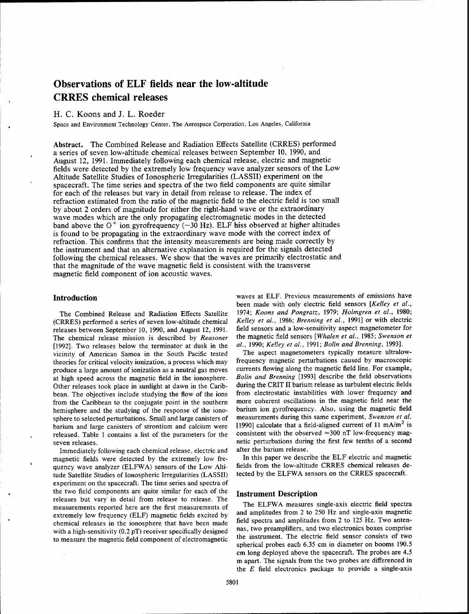# Observations of ELF fields near the low-altitude CRRES chemical releases

# H. C. Koons and J. L. Roeder

Space and Environment Technology Center, The Aerospace Corporation, Los Angeles, California

**Abstract.** The Combined Release and Radiation Effects Satellite (CRRES) performed a series of seven low-altitude chemical releases between September 10, 1990, and August 12, 1991. Immediately following each chemical release, electric and magnetic fields were detected by the extremely low frequency wave analyzer sensors of the Low Altitude Satellite Studies of Ionospheric Irregularities (LASSII) experiment on the spacecraft. The time series and spectra of the two field components are quite similar for each of the releases but vary in detail from release to release. The index of refraction estimated from the ratio of the magnetic field to the electric field is too small by about 2 orders of magnitude for either the right-hand wave or the extraordinary wave modes which are the only propagating electromagnetic modes in the detected wave modes which are the only propagating circliomagnetic modes in the detected band above the  $O<sup>+</sup>$  ion gyrofrequency ( $\sim$ 30 Hz). ELF hiss observed at higher altitudes is found to be propagating in the extraordinary wave mode with the correct index of refraction. This confirms that the intensity measurements are being made correctly by the instrument and that an alternative explanation is required for the signals detected following the chemical releases. We show that the waves are primarily electrostatic and that the magnitude of the wave magnetic field is consistent with the transverse magnetic field component of ion acoustic waves.

# **Introduction**

The Combined Release and Radiation Effects Satellite (CRRES) performed a series of seven low-altitude chemical releases between September 10, 1990, and August 12, 1991. The chemical release mission is described by *Reasoner* [1992]. Two releases below the terminator at dusk in the vicinity of American Samoa in the South Pacific tested theories for critical velocity ionization, a process which may produce a large amount of ionization as a neutral gas moves at high speed across the magnetic field in the ionosphere. Other releases took place in sunlight at dawn in the Caribbean. The objectives include studying the flow of the ions from the Caribbean to the conjugate point in the southern hemisphere and the studying of the response of the ionosphere to selected perturbations. Small and large canisters of barium and large canisters of strontium and calcium were released. Table <sup>1</sup> contains a list of the parameters for the seven releases.

Immediately following each chemical release, electric and magnetic fields were detected by the extremely low frequency wave analyzer (ELFWA) sensors of the Low Altitude Satellite Studies of Ionospheric Irregularities (LASSII) experiment on the spacecraft. The time series and spectra of the two field components are quite similar for each of the releases but vary in detail from release to release. The measurements reported here are the first measurements of extremely low frequency (ELF) magnetic fields excited by chemical releases in the ionosphere that have been made with a high-sensitivity (0.2 pT) receiver specifically designed to measure the magnetic field component of electromagnetic

waves at ELF. Previous measurements of emissions have been made with only electric field sensors *[Kelley et al.,* 1974; *Koons and Pongratz,* 1979; *Holmgren et al.,* 1980; *Kelley et al,* 1986; *Brenning et al.,* 1991] or with electric field sensors and a low-sensitivity aspect magnetometer for the magnetic field sensors *[Whalen et al.,* 1985; *Swenson et al.,* 1990; *Kelley et al.,* 1991; *Bolin and Brenning,* 1993].

The aspect magnetometers typically measure ultralowfrequency magnetic perturbations caused by macroscopic currents flowing along the magnetic field line. For example, *Bolin and Brenning* [1993] describe the field observations during the CRIT II barium release as turbulent electric fields from electrostatic instabilities with lower frequency and more coherent oscillations in the magnetic field near the barium ion gyrofrequency. Also, using the magnetic field measurements during this same experiment, *Swenson et al.* [1990] calculate that a field-aligned current of 11  $mA/m^2$  is consistent with the observed  $\approx$ 300 nT low-frequency magnetic perturbations during the first few tenths of a second after the barium release.

In this paper we describe the ELF electric and magnetic fields from the low-altitude CRRES chemical releases detected by the ELFWA sensors on the CRRES spacecraft.

# **Instrument Description**

The ELFWA measures single-axis electric field spectra and amplitudes from 2 to 250 Hz and single-axis magnetic field spectra and amplitudes from 2 to 125 Hz. Two antennas, two preamplifiers, and two electronics boxes comprise the instrument. The electric field sensor consists of two spherical probes each 6.35 cm in diameter on booms 190.5 cm long deployed above the spacecraft. The probes are 4.5 m apart. The signals from the two probes are differenced in the *E* field electronics package to provide a single-axis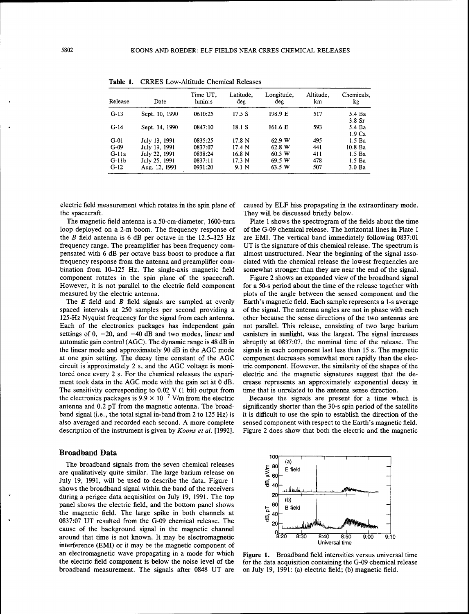| Release | Date           | Time UT.<br>hmin:s | Latitude,<br>deg  | Longitude,<br>deg | Altitude.<br>km | Chemicals.<br>kg            |
|---------|----------------|--------------------|-------------------|-------------------|-----------------|-----------------------------|
| $G-13$  | Sept. 10, 1990 | 0610:25            | 17.5 S            | 198.9 E           | 517             | 5.4 Ba<br>3.8 Sr            |
| $G-14$  | Sept. 14, 1990 | 0847:10            | 18.1 S            | 161.6 E           | 593             | 5.4 Ba<br>1.9 <sub>Ca</sub> |
| $G-01$  | July 13, 1991  | 0835:25            | 17.8 N            | 62.9 W            | 495             | 1.5 <sub>Ba</sub>           |
| $G-09$  | July 19, 1991  | 0837:07            | 17.4 N            | 62.8 W            | 441             | 10.8 <sub>Ba</sub>          |
| $G-11a$ | July 22, 1991  | 0838:24            | 16.8 <sub>N</sub> | 60.3 W            | 411             | 1.5 <sub>Ba</sub>           |
| $G-11b$ | July 25, 1991  | 0837:11            | 17.3 N            | 69.5 W            | 478             | 1.5 <sub>Ba</sub>           |
| $G-12$  | Aug. 12, 1991  | 0931:20            | 9.1 N             | 63.5 W            | 507             | 3.0 <sub>Ba</sub>           |

Table 1. CRRES Low-Altitude Chemical Releases

electric field measurement which rotates in the spin plane of the spacecraft.

The magnetic field antenna is a 50-cm-diameter, 1600-turn loop deployed on a 2-m boom. The frequency response of the *B* field antenna is 6 dB per octave in the 12.5-125 Hz frequency range. The preamplifier has been frequency compensated with 6 dB per octave bass boost to produce a flat frequency response from the antenna and preamplifier combination from 10-125 Hz. The single-axis magnetic field component rotates in the spin plane of the spacecraft. However, it is not parallel to the electric field component measured by the electric antenna.

The *E* field and *B* field signals are sampled at evenly spaced intervals at 250 samples per second providing a 125-Hz Nyquist frequency for the signal from each antenna. Each of the electronics packages has independent gain settings of  $0$ ,  $-20$ , and  $-40$  dB and two modes, linear and automatic gain control (AGC). The dynamic range is 48 dB in the linear mode and approximately 90 dB in the AGC mode at one gain setting. The decay time constant of the AGC circuit is approximately 2 s, and the AGC voltage is monitored once every 2 s. For the chemical releases the experiment took data in the AGC mode with the gain set at 0 dB. The sensitivity corresponding to 0.02 V (1 bit) output from the electronics packages is  $9.9 \times 10^{-7}$  V/m from the electric antenna and 0.2 pT from the magnetic antenna. The broadband signal (i.e., the total signal in-band from 2 to 125 Hz) is also averaged and recorded each second. A more complete description of the instrument is given by *Koons et al.* [1992].

#### Broadband Data

The broadband signals from the seven chemical releases are qualitatively quite similar. The large barium release on July 19, 1991, will be used to describe the data. Figure <sup>1</sup> shows the broadband signal within the band of the receivers during a perigee data acquisition on July 19, 1991. The top panel shows the electric field, and the bottom panel shows the magnetic field. The large spike in both channels at 0837:07 UT resulted from the G-09 chemical release. The cause of the background signal in the magnetic channel around that time is not known. It may be electromagnetic interference (EMI) or it may be the magnetic component of an electromagnetic wave propagating in a mode for which the electric field component is below the noise level of the broadband measurement. The signals after 0848 UT are

caused by ELF hiss propagating in the extraordinary mode. They will be discussed briefly below.

Plate <sup>1</sup> shows the spectrogram of the fields about the time of the G-09 chemical release. The horizontal lines in Plate <sup>1</sup> are EMI. The vertical band immediately following 0837:01 UT is the signature of this chemical release. The spectrum is almost unstructured. Near the beginning of the signal associated with the chemical release the lowest frequencies are somewhat stronger than they are near the end of the signal.

Figure 2 shows an expanded view of the broadband signal for a 50-s period about the time of the release together with plots of the angle between the sensed component and the Earth's magnetic field. Each sample represents a 1-s average of the signal. The antenna angles are not in phase with each other because the sense directions of the two antennas are not parallel. This release, consisting of two large barium canisters in sunlight, was the largest. The signal increases abruptly at 0837:07, the nominal time of the release. The signals in each component last less than 15 s. The magnetic component decreases somewhat more rapidly than the electric component. However, the similarity of the shapes of the electric and the magnetic signatures suggest that the decrease represents an approximately exponential decay in time that is unrelated to the antenna sense direction.

Because the signals are present for a time which is significantly shorter than the 30-s spin period of the satellite it is difficult to use the spin to establish the direction of the sensed component with respect to the Earth's magnetic field. Figure 2 does show that both the electric and the magnetic



Figure 1. Broadband field intensities versus universal time for the data acquisition containing the G-09 chemical release on July 19, 1991: (a) electric field; (b) magnetic field.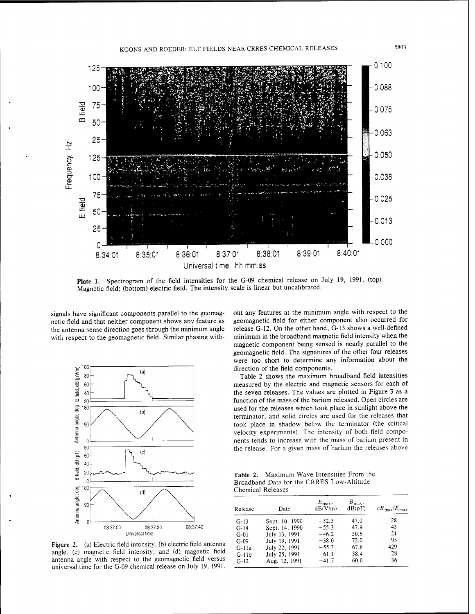

Plate 1. Spectrogram of the field intensities for the G-09 chemical release on July 19, 1991. (top) Magnetic field; (bottom) electric field. The intensity scale is linear but uncalibrated.

signals have significant components parallel to the geomagnetic field and that neither component shows any feature as the antenna sense direction goes through the minimum angle with respect to the geomagnetic field. Similar phasing with-



Figure 2. (a) Electric field intensity, (b) electric field antenna angle, (c) magnetic field intensity, and (d) magnetic field antenna angle with respect to the geomagnetic field versus universal time for the G-09 chemical release on July 19, 1991.

out any features at the minimum angle with respect to the geomagnetic field for either component also occurred for release G-12. On the other hand, G-13 shows a well-defined minimum in the broadband magnetic field intensity when the magnetic component being sensed is nearly parallel to the geomagnetic field. The signatures of the other four releases were too short to determine any information about the direction of the field components.

Table 2 shows the maximum broadband field intensities measured by the electric and magnetic sensors for each of the seven releases. The values are plotted in Figure <sup>3</sup> as a function of the mass of the barium released. Open circles are used for the releases which took place in sunlight above the terminator, and solid circles are used for the releases that took place in shadow below the terminator (the critical velocity experiments). The intensity of both field components tends to increase with the mass of barium present in the release. For a given mass of barium the releases above

Table 2. Maximum Wave Intensities From the Broadband Data for the CRRES Low-Altitude Chemical Releases

| Release | Date           | $E_{\text{max}}$ .<br>dB(V/m) | $B_{\text{max}}$<br>dB(pT) | $CB_{\text{max}}/E_{\text{max}}$ |
|---------|----------------|-------------------------------|----------------------------|----------------------------------|
| $G-13$  | Sept. 10, 1990 | $-52.5$                       | 47.0                       | 28                               |
| $G-14$  | Sept. 14, 1990 | $-55.3$                       | 47.9                       | 43                               |
| $G-01$  | July 13, 1991  | $-46.2$                       | 50.6                       | 21                               |
| $G-09$  | July 19, 1991  | $-38.0$                       | 72.0                       | 95                               |
| $G-11a$ | July 22, 1991  | $-55.3$                       | 67.8                       | 429                              |
| $G-11b$ | July 25, 1991  | $-61.1$                       | 38.4                       | 28                               |
| $G-12$  | Aug. 12, 1991  | $-41.7$                       | 60.0                       | 36                               |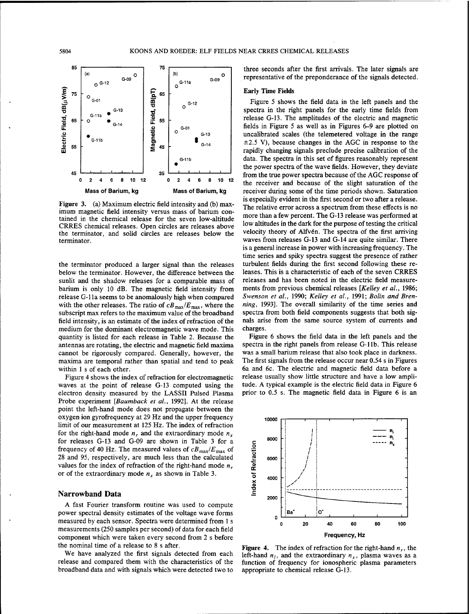

Figure 3. (a) Maximum electric field intensity and (b) maximum magnetic field intensity versus mass of barium contained in the chemical release for the seven low-altitude CRRES chemical releases. Open circles are releases above the terminator, and solid circles are releases below the terminator.

the terminator produced a larger signal than the releases below the terminator. However, the difference between the sunlit and the shadow releases for a comparable mass of barium is only 10 dB. The magnetic field intensity from release G-lla seems to be anomalously high when compared with the other releases. The ratio of  $cB_{\text{max}}/E_{\text{max}}$ , where the subscript max refers to the maximum value of the broadband field intensity, is an estimate of the index of refraction of the medium for the dominant electromagnetic wave mode. This quantity is listed for each release in Table 2. Because the antennas are rotating, the electric and magnetic field maxima cannot be rigorously compared. Generally, however, the maxima are temporal rather than spatial and tend to peak within <sup>1</sup> s of each other.

Figure 4 shows the index of refraction for electromagnetic waves at the point of release G-13 computed using the electron density measured by the LASSII Pulsed Plasma Probe experiment *[Baumback et al.,* 1992]. At the release point the left-hand mode does not propagate between the oxygen ion gyrofrequency at 29 Hz and the upper frequency limit of our measurement at 125 Hz. The index of refraction for the right-hand mode  $n_r$  and the extraordinary mode  $n_x$ for releases G-13 and G-09 are shown in Table 3 for a frequency of 40 Hz. The measured values of  $cB_{\text{max}}/E_{\text{max}}$  of 28 and 95, respectively, are much less than the calculated values for the index of refraction of the right-hand mode *nr* or of the extraordinary mode  $n_x$  as shown in Table 3.

# Narrowband Data

A fast Fourier transform routine was used to compute power spectral density estimates of the voltage wave forms measured by each sensor. Spectra were determined from <sup>1</sup> s measurements (250 samples per second) of data for each field component which were taken every second from 2 s before the nominal time of a release to 8 s after.

We have analyzed the first signals detected from each release and compared them with the characteristics of the broadband data and with signals which were detected two to three seconds after the first arrivals. The later signals are representative of the preponderance of the signals detected.

# Early Time Fields

Figure 5 shows the field data in the left panels and the spectra in the right panels for the early time fields from release G-13. The amplitudes of the electric and magnetic fields in Figure 5 as well as in Figures 6-9 are plotted on uncalibrated scales (the telemetered voltage in the range  $\pm$ 2.5 V), because changes in the AGC in response to the rapidly changing signals preclude precise calibration of the data. The spectra in this set of figures reasonably represent the power spectra of the wave fields. However, they deviate from the true power spectra because of the AGC response of the receiver and because of the slight saturation of the receiver during some of the time periods shown. Saturation is especially evident in the first second or two after a release. The relative error across a spectrum from these effects is no more than a few percent. The G-13 release was performed at low altitudes in the dark for the purpose of testing the critical velocity theory of Alfvén. The spectra of the first arriving waves from releases G-13 and G-14 are quite similar. There is a general increase in power with increasing frequency. The time series and spiky spectra suggest the presence of rather turbulent fields during the first second following these releases. This is a characteristic of each of the seven CRRES releases and has been noted in the electric field measurements from previous chemical releases *[Kelley et al.,* 1986; *Swenson et al.,* 1990; *Kelley et al,* 1991; *Bolin and Brenning,* 1993]. The overall similarity of the time series and spectra from both field components suggests that both signals arise from the same source system of currents and charges.

Figure 6 shows the field data in the left panels and the spectra in the right panels from release G-llb. This release was a small barium release that also took place in darkness. The first signals from the release occur near 0.54 s in Figures 6a and 6c. The electric and magnetic field data before a release usually show little structure and have a low amplitude. A typical example is the electric field data in Figure 6 prior to 0.5 s. The magnetic field data in Figure 6 is an



**Figure 4.** The index of refraction for the right-hand  $n_r$ , the left-hand  $n_l$ , and the extraordinary  $n_x$ , plasma waves as a function of frequency for ionospheric plasma parameters appropriate to chemical release G-13.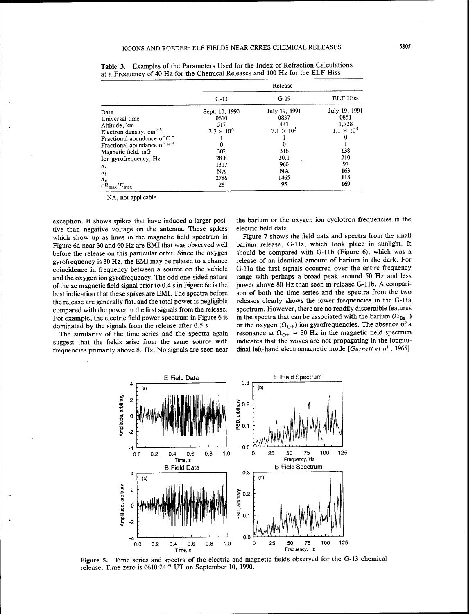|                                  | Release             |                     |                     |  |
|----------------------------------|---------------------|---------------------|---------------------|--|
|                                  | $G-13$              | $G-09$              | <b>ELF Hiss</b>     |  |
| Date                             | Sept. 10, 1990      | July 19, 1991       | July 19, 1991       |  |
| Universal time                   | 0610                | 0837                | 0851                |  |
| Altitude, km                     | 517                 | 441                 | 1.728               |  |
| Electron density, $cm^{-3}$      | $2.3 \times 10^{6}$ | $7.1 \times 10^{5}$ | $1.1 \times 10^{4}$ |  |
| Fractional abundance of $O+$     |                     |                     | 0                   |  |
| Fractional abundance of $H^+$    | 0                   | 0                   |                     |  |
| Magnetic field, mG               | 302                 | 316                 | 138                 |  |
| Ion gyrofrequency, Hz            | 28.8                | 30.1                | 210                 |  |
| $n_r$                            | 1317                | 960                 | 97                  |  |
| $n_l$                            | NA.                 | NA.                 | 163                 |  |
| $n_x$                            | 2786                | 1465                | 118                 |  |
| $c\bar{B}_{\rm max}/E_{\rm max}$ | 28                  | 95                  | 169                 |  |

Table 3. Examples of the Parameters Used for the Index of Refraction Calculations at a Frequency of 40 Hz for the Chemical Releases and 100 Hz for the ELF Hiss

NA, not applicable.

exception. It shows spikes that have induced a larger positive than negative voltage on the antenna. These spikes which show up as lines in the magnetic field spectrum in Figure 6d near 30 and 60 Hz are EMI that was observed well before the release on this particular orbit. Since the oxygen gyrofrequency is 30 Hz, the EMI may be related to a chance coincidence in frequency between a source on the vehicle and the oxygen ion gyrofrequency. The odd one-sided nature ofthe ac magnetic field signal prior to 0.4 s in Figure 6c is the best indication that these spikes are EMI. The spectra before the release are generally flat, and the total power is negligible compared with the power in the first signals from the release. For example, the electric field power spectrum in Figure 6 is dominated by the signals from the release after 0.5 s.

The similarity of the time series and the spectra again suggest that the fields arise from the same source with frequencies primarily above 80 Hz. No signals are seen near the barium or the oxygen ion cyclotron frequencies in the electric field data.

Figure 7 shows the field data and spectra from the small barium release, G-lla, which took place in sunlight. It should be compared with G-llb (Figure 6), which was a release of an identical amount of barium in the dark. For G-lla the first signals occurred over the entire frequency range with perhaps a broad peak around 50 Hz and less power above 80 Hz than seen in release G-llb. A comparison of both the time series and the spectra from the two releases clearly shows the lower frequencies in the G-lla spectrum. However, there are no readily discernible features in the spectra that can be associated with the barium  $(\Omega_{Ba+})$ or the oxygen  $(\Omega_{0+})$  ion gyrofrequencies. The absence of a resonance at  $\Omega_{0+}$  = 30 Hz in the magnetic field spectrum indicates that the waves are not propagating in the longitudinal left-hand electromagnetic mode *[Gurnett et al.,* 1965].



Figure 5. Time series and spectra of the electric and magnetic fields observed for the G-13 chemical release. Time zero is 0610:24.7 UT on September 10, 1990.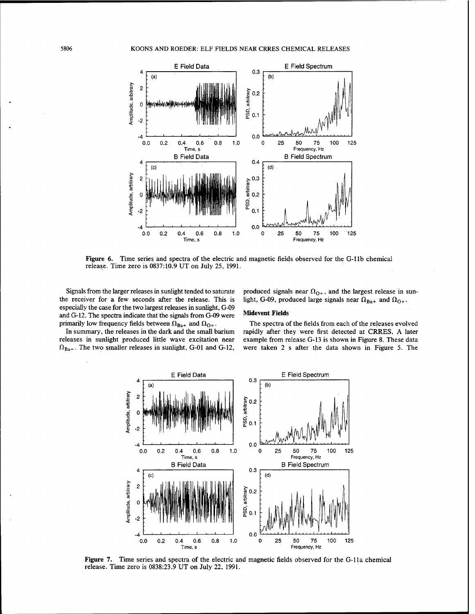

**Figure 6.** Time series and spectra of the electric and magnetic fields observed for the G-llb chemical release. Time zero is 0837:10.9 UT on July 25, 1991.

Signals from the larger releases in sunlight tended to saturate the receiver for a few seconds after the release. This is especially the case for the two largest releases in sunlight, G-09 and G-12. The spectra indicate that the signals from G-09 were primarily low frequency fields between  $\Omega_{Ba+}$  and  $\Omega_{O+}$ .

# produced signals near  $\Omega_{O+}$ , and the largest release in sunlight, G-09, produced large signals near  $\Omega_{Ba+}$  and  $\Omega_{O+}$ .

#### **Midevent Fields**

In summary, the releases in the dark and the small barium releases in sunlight produced little wave excitation near  $\Omega_{Ba^+}$ . The two smaller releases in sunlight, G-01 and G-12,

The spectra of the fields from each of the releases evolved rapidly after they were first detected at CRRES. A later example from release G-13 is shown in Figure 8. These data were taken 2 s after the data shown in Figure 5. The



Figure 7. Time series and spectra of the electric and magnetic fields observed for the G-lla chemical release. Time zero is 0838:23.9 UT on July 22, 1991.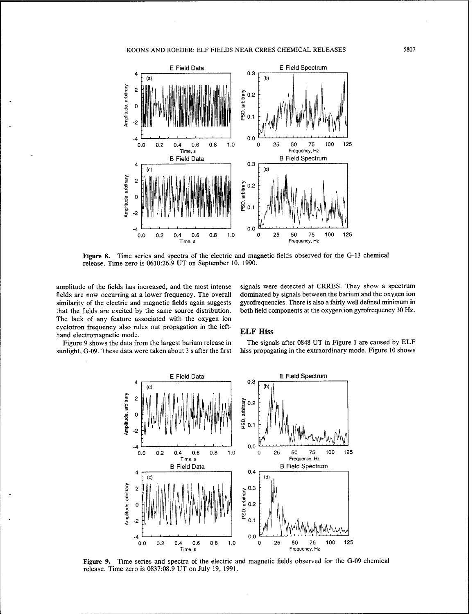# KOONS AND ROEDER: ELF FIELDS NEAR CRRES CHEMICAL RELEASES 5807



Figure 8. Time series and spectra of the electric and magnetic fields observed for the G-13 chemical release. Time zero is 0610:26.9 UT on September 10, 1990.

amplitude of the fields has increased, and the most intense fields are now occurring at a lower frequency. The overall similarity of the electric and magnetic fields again suggests that the fields are excited by the same source distribution. The lack of any feature associated with the oxygen ion cyclotron frequency also rules out propagation in the lefthand electromagnetic mode.

signals were detected at CRRES. They show a spectrum dominated by signals between the barium and the oxygen ion gyrofrequencies. There is also a fairly well defined minimum in both field components at the oxygen ion gyrofrequency 30 Hz.

# ELF Hiss

Figure 9 shows the data from the largest barium release in sunlight, G-09. These data were taken about 3 s after the first

The signals after 0848 UT in Figure <sup>1</sup> are caused by ELF hiss propagating in the extraordinary mode. Figure 10 shows



Figure 9. Time series and spectra of the electric and magnetic fields observed for the G-09 chemical release. Time zero is 0837:08.9 UT on July 19, 1991.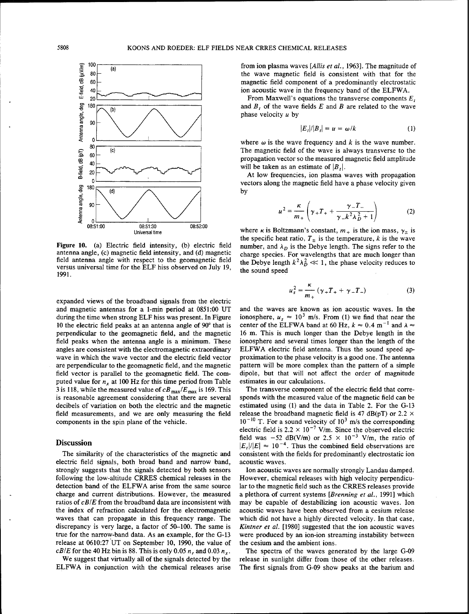

Figure 10. (a) Electric field intensity, (b) electric field antenna angle, (c) magnetic field intensity, and (d) magnetic field antenna angle with respect to the geomagnetic field versus universal time for the ELF hiss observed on July 19, 1991.

expanded views of the broadband signals from the electric and magnetic antennas for a 1-min period at 0851:00 UT during the time when strong ELF hiss was present. In Figure 10 the electric field peaks at an antenna angle of 90° that is perpendicular to the geomagnetic field, and the magnetic field peaks when the antenna angle is a minimum. These angles are consistent with the electromagnetic extraordinary wave in which the wave vector and the electric field vector are perpendicular to the geomagnetic field, and the magnetic field vector is parallel to the geomagnetic field. The computed value for  $n_x$  at 100 Hz for this time period from Table 3 is 118, while the measured value of  $cB_{\text{max}}/E_{\text{max}}$  is 169. This is reasonable agreement considering that there are several decibels of variation on both the electric and the magnetic field measurements, and we are only measuring the field components in the spin plane of the vehicle.

### Discussion

The similarity of the characteristics of the magnetic and electric field signals, both broad band and narrow band, strongly suggests that the signals detected by both sensors following the low-altitude CRRES chemical releases in the detection band of the ELFWA arise from the same source charge and current distributions. However, the measured ratios of *cBIE* from the broadband data are inconsistent with the index of refraction calculated for the electromagnetic waves that can propagate in this frequency range. The discrepancy is very large, a factor of 50-100. The same is true for the narrow-band data. As an example, for the G-13 release at 0610:27 UT on September 10, 1990, the value of *cB/E* for the 40 Hz bin is 88. This is only 0.05  $n_r$  and 0.03  $n_x$ .

We suggest that virtually all of the signals detected by the ELFWA in conjunction with the chemical releases arise from ion plasma waves *[Allis et al.,* 1963]. The magnitude of the wave magnetic field is consistent with that for the magnetic field component of a predominantly electrostatic ion acoustic wave in the frequency band of the ELFWA.

From Maxwell's equations the transverse components *E,* and *B,* of the wave fields *E* and *B* are related to the wave phase velocity *u* by

$$
|E_t|/|B_t| = u = \omega/k \tag{1}
$$

where  $\omega$  is the wave frequency and  $k$  is the wave number. The magnetic field of the wave is always transverse to the propagation vector so the measured magnetic field amplitude will be taken as an estimate of  $\left|B_t\right|$ .

At low frequencies, ion plasma waves with propagation vectors along the magnetic field have a phase velocity given by

$$
\mu^{2} = \frac{\kappa}{m_{+}} \left( \gamma_{+} T_{+} + \frac{\gamma_{-} T_{-}}{\gamma_{-} k^{2} \lambda_{D}^{2} + 1} \right)
$$
 (2)

where *k* is Boltzmann's constant,  $m_+$  is the ion mass,  $\gamma_{\pm}$  is the specific heat ratio,  $T_{\pm}$  is the temperature, *k* is the wave number, and  $\lambda_D$  is the Debye length. The signs refer to the charge species. For wavelengths that are much longer than the Debye length  $k^2 \lambda_D^2 \ll 1$ , the phase velocity reduces to the sound speed

$$
u_s^2 = \frac{\kappa}{m_+} \left( \gamma_+ T_+ + \gamma_- T_- \right) \tag{3}
$$

and the waves are known as ion acoustic waves. In the ionosphere,  $u_s \approx 10^3$  m/s. From (1) we find that near the center of the ELFWA band at 60 Hz,  $k \approx 0.4$  m<sup>-1</sup> and  $\lambda \approx$ 16 m. This is much longer than the Debye length in the ionosphere and several times longer than the length of the ELFWA electric field antenna. Thus the sound speed approximation to the phase velocity is a good one. The antenna pattern will be more complex than the pattern of a simple dipole, but that will not affect the order of magnitude estimates in our calculations.

The transverse component of the electric field that corresponds with the measured value of the magnetic field can be estimated using (1) and the data in Table 2. For the G-13 release the broadband magnetic field is 47 dB(pT) or 2.2  $\times$  $10^{-10}$  T. For a sound velocity of  $10^3$  m/s the corresponding electric field is  $2.2 \times 10^{-7}$  V/m. Since the observed electric field was  $-52$  dB(V/m) or  $2.5 \times 10^{-3}$  V/m, the ratio of  $|E_t|/|E| \approx 10^{-4}$ . Thus the combined field observations are consistent with the fields for predominantly electrostatic ion acoustic waves.

Ion acoustic waves are normally strongly Landau damped. However, chemical releases with high velocity perpendicular to the magnetic field such as the CRRES releases provide a plethora of current systems *[Brenning et al.,* 1991] which may be capable of destabilizing ion acoustic waves. Ion acoustic waves have been observed from a cesium release which did not have a highly directed velocity. In that case, *Kintner et al.* [1980] suggested that the ion acoustic waves were produced by an ion-ion streaming instability between the cesium and the ambient ions.

The spectra of the waves generated by the large G-09 release in sunlight differ from those of the other releases. The first signals from G-09 show peaks at the barium and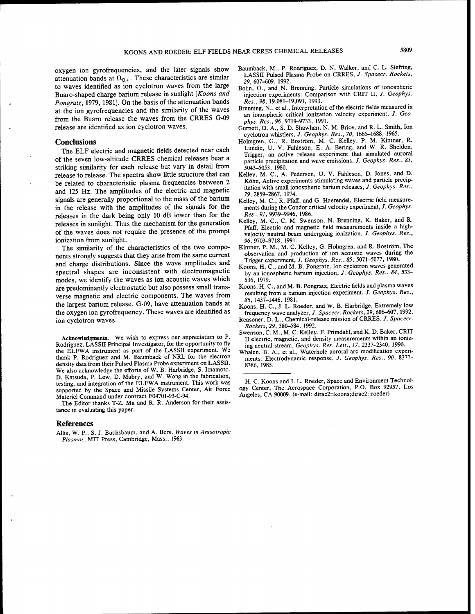oxygen ion gyrofrequencies, and the later signals show attenuation bands at  $\Omega_{0+}$ . These characteristics are similar to waves identified as ion cyclotron waves from the large Buaro-shaped charge barium release in sunlight *[Koons and Pongratz,* 1979, 1981]. On the basis of the attenuation bands at the ion gyrofrequencies and the similarity of the waves from the Buaro release the waves from the CRRES G-09 release are identified as ion cyclotron waves.

#### **Conclusions**

The ELF electric and magnetic fields detected near each of the seven low-altitude CRRES chemical releases bear a striking similarity for each release but vary in detail from release to release. The spectra show little structure that can be related to characteristic plasma frequencies between 2 and 125 Hz. The amplitudes of the electric and magnetic signals are generally proportional to the mass of the barium in the release with the amplitudes of the signals for the releases in the dark being only 10 dB lower than for the releases in sunlight. Thus the mechanism for the generation of the waves does not require the presence of the prompt ionization from sunlight.

The similarity of the characteristics of the two components strongly suggests that they arise from the same current and charge distributions. Since the wave amplitudes and spectral shapes are inconsistent with electromagnetic modes, we identify the waves as ion acoustic waves which are predominantly electrostatic but also possess small transverse magnetic and electric components. The waves from the largest barium release, G-09, have attenuation bands at the oxygen ion gyrofrequency. These waves are identified as ion cyclotron waves.

Acknowledgments. We wish to express our appreciation to P. Rodriguez, LASSII Principal Investigator, for the opportunity to fly the ELFWA instrument as part of the LASSII experiment. We thank P. Rodriguez and M. Baumback of NRL for the electron density data from their Pulsed Plasma Probe experiment on LASSII. We also acknowledge the efforts of W. B. Harbridge, S. Imamoto, D. Katsuda, P. Lew, D. Mabry, and W. Wong in the fabrication, testing, and integration of the ELFWA instrument. This work was supported by the Space and Missile Systems Center, Air Force Materiel Command under contract F04701-93-C-94.

The Editor thanks T-Z. Ma and R. R. Anderson for their assistance in evaluating this paper.

#### References

Allis, W. P., S. J. Buchsbaum, and A. Bers, *Waves in Anisotropie Plasmas,* MIT Press, Cambridge, Mass., 1963.

- Baumback, M., P. Rodriguez, D. N. Walker, and C. L. Siefring, LASSII Pulsed Plasma Probe on CRRES, *J. Spacecr. Rockets, 29,* 607-609, 1992.
- Bolin, O., and N. Brenning, Particle simulations of ionospheric injection experiments: Comparison with CRIT II, *J. Geophys. Res., 98,* 19,081-19,091, 1993.
- Brenning, N., et al., Interpretation of the electric fields measured in an ionospheric critical ionization velocity experiment, *J. Geophys. Res., 96,* 9719-9733, 1991.
- Gurnett, D. A., S. D. Shawhan, N. M. Brice, and R. L. Smith, Ion cyclotron whistlers, /. *Geophys. Res., 70,* 1665-1688, 1965.
- Holmgren, G., R. Boström, M. C. Kelley, P. M. Kintner, R. Lundin, U. V. Fahleson, E. A. Bering, and W. R. Sheldon, Trigger, an active release experiment that simulated auroral particle precipitation and wave emissions, *J. Geophys. Res., 85,* 5043-5053, 1980.
- Kelley, M. C, A. Pedersen, U. V. Fahleson, D. Jones, and D. Köhn, Active experiments stimulating waves and particle precipitation with small ionospheric barium releases, /. *Geophys. Res., 79,* 2859-2867, 1974.
- Kelley, M. C, R. Pfaff, and G. Haerendel, Electric field measurements during the Condor critical velocity experiment, /. *Geophys. Res., 91,* 9939-9946, 1986.
- Kelley, M. C, C. M. Swenson, N. Brenning, K. Baker, and R. Pfaff, Electric and magnetic field measurements inside a highvelocity neutral beam undergoing ionization, *J. Geophys. Res.,* 96,9703-9718, 1991.
- Kintner, P. M., M. C. Kelley, G. Holmgren, and R. Boström, The observation and production of ion acoustic waves during the Trigger experiment, *J. Geophys. Res., 85,* 5071-5077, 1980.
- Koons, H. C, and M. B. Pongratz, Ion cyclotron waves generated by an ionospheric barium injection, *J. Geophys. Res., 84,* 533- 536, 1979.
- Koons, H. C, and M. B. Pongratz, Electric fields and plasma waves resulting from a barium injection experiment, *J. Geophys. Res., 86,* 1437-1446, 1981.
- Koons, H. C, J. L. Roeder, and W. B. Harbridge, Extremely low frequency wave analyzer, *J. Spacecr. Rockets, 29,* 606-607, 1992.
- Reasoner, D. L., Chemical-release mission of CRRES, *J. Spacecr. Rockets, 29,* 580-584, 1992.
- Swenson, C. M., M. C. Kelley, F. Primdahl, and K. D. Baker, CRIT II electric, magnetic, and density measurements within an ionizing neutral stream, *Geophys. Res. Lett., 17,* 2337-2340, 1990.
- Whalen, B. A., et al., Waterhole auroral arc modification experiments: Electrodynamic response, *J. Geophys. Res., 90,* 8377- 8386, 1985.

H. C. Koons and J. L. Roeder, Space and Environment Technology Center, The Aerospace Corporation, P.O. Box 92957, Los Angeles, CA 90009. (e-mail: dirac2::koons;dirac2::roeder)